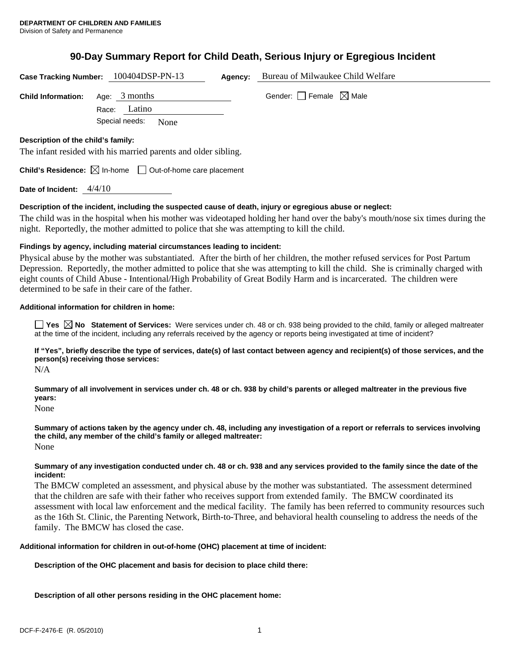# **90-Day Summary Report for Child Death, Serious Injury or Egregious Incident**

|                                    | Case Tracking Number: 100404DSP-PN-13                                           | Agency: | Bureau of Milwaukee Child Welfare      |  |
|------------------------------------|---------------------------------------------------------------------------------|---------|----------------------------------------|--|
| <b>Child Information:</b>          | Age: $3$ months<br>Latino<br>Race:                                              |         | Gender: $\Box$ Female $\boxtimes$ Male |  |
|                                    | Special needs:<br>None                                                          |         |                                        |  |
| Description of the child's family: | The infant resided with his married parents and older sibling.                  |         |                                        |  |
|                                    | <b>Child's Residence:</b> $\boxtimes$ In-home $\Box$ Out-of-home care placement |         |                                        |  |
| Date of Incident:                  | 4/4/10                                                                          |         |                                        |  |

# **Description of the incident, including the suspected cause of death, injury or egregious abuse or neglect:**

The child was in the hospital when his mother was videotaped holding her hand over the baby's mouth/nose six times during the night. Reportedly, the mother admitted to police that she was attempting to kill the child.

## **Findings by agency, including material circumstances leading to incident:**

Physical abuse by the mother was substantiated. After the birth of her children, the mother refused services for Post Partum Depression. Reportedly, the mother admitted to police that she was attempting to kill the child. She is criminally charged with eight counts of Child Abuse - Intentional/High Probability of Great Bodily Harm and is incarcerated. The children were determined to be safe in their care of the father.

## **Additional information for children in home:**

**Yes**  $\boxtimes$  **No** Statement of Services: Were services under ch. 48 or ch. 938 being provided to the child, family or alleged maltreater at the time of the incident, including any referrals received by the agency or reports being investigated at time of incident?

**If "Yes", briefly describe the type of services, date(s) of last contact between agency and recipient(s) of those services, and the person(s) receiving those services:** 

N/A

**Summary of all involvement in services under ch. 48 or ch. 938 by child's parents or alleged maltreater in the previous five years:** 

None

**Summary of actions taken by the agency under ch. 48, including any investigation of a report or referrals to services involving the child, any member of the child's family or alleged maltreater:**  None

#### **Summary of any investigation conducted under ch. 48 or ch. 938 and any services provided to the family since the date of the incident:**

The BMCW completed an assessment, and physical abuse by the mother was substantiated. The assessment determined that the children are safe with their father who receives support from extended family. The BMCW coordinated its assessment with local law enforcement and the medical facility. The family has been referred to community resources such as the 16th St. Clinic, the Parenting Network, Birth-to-Three, and behavioral health counseling to address the needs of the family. The BMCW has closed the case.

#### **Additional information for children in out-of-home (OHC) placement at time of incident:**

**Description of the OHC placement and basis for decision to place child there:** 

**Description of all other persons residing in the OHC placement home:**